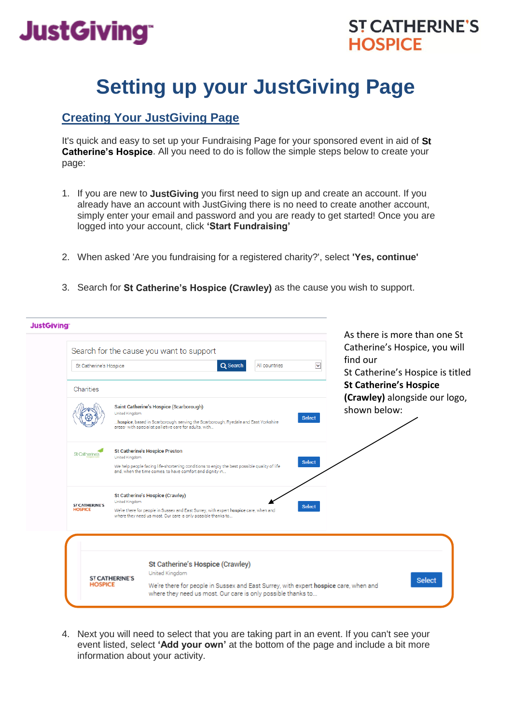# **JustGiving®**

### **ST CATHERINE'S HOSPICE**

## **Setting up your JustGiving Page**

### **Creating Your JustGiving Page**

It's quick and easy to set up your Fundraising Page for your sponsored event in aid of **St Catherine's Hospice**. All you need to do is follow the simple steps below to create your page:

- 1. If you are new to **JustGiving** you first need to sign up and create an account. If you already have an account with JustGiving there is no need to create another account, simply enter your email and password and you are ready to get started! Once you are logged into your account, click **'Start Fundraising'**
- 2. When asked 'Are you fundraising for a registered charity?', select **'Yes, continue'**
- 3. Search for **St Catherine's Hospice (Crawley)** as the cause you wish to support.

| <b>JustGiving</b> | Search for the cause you want to support                                                                                                                                                                                                                               |                                                                                                                                                                                                                                     | As there is more than one St<br>Catherine's Hospice, you will  |
|-------------------|------------------------------------------------------------------------------------------------------------------------------------------------------------------------------------------------------------------------------------------------------------------------|-------------------------------------------------------------------------------------------------------------------------------------------------------------------------------------------------------------------------------------|----------------------------------------------------------------|
|                   | St Catherine's Hospice                                                                                                                                                                                                                                                 | Y<br>Q Search<br>All countries                                                                                                                                                                                                      | find our<br>St Catherine's Hospice is titled                   |
|                   | Charities                                                                                                                                                                                                                                                              |                                                                                                                                                                                                                                     | <b>St Catherine's Hospice</b><br>(Crawley) alongside our logo, |
|                   |                                                                                                                                                                                                                                                                        | Saint Catherine's Hospice (Scarborough)<br>United Kingdom<br><b>Select</b><br>hospice, based in Scarborough, serving the Scarborough, Ryedale and East Yorkshire<br>areas- with specialist palliative care for adults, with         | shown below:                                                   |
|                   | St Catherine's                                                                                                                                                                                                                                                         | <b>St Catherine's Hospice Preston</b><br>United Kingdom<br><b>Select</b><br>We help people facing life-shortening conditions to enjoy the best possible quality of life<br>and, when the time comes, to have comfort and dignity in |                                                                |
|                   | St Catherine's Hospice (Crawley)<br>United Kingdom<br><b>ST CATHERINE'S</b><br><b>Select</b><br><b>HOSPICE</b><br>We're there for people in Sussex and East Surrey, with expert hospice care, when and<br>where they need us most. Our care is only possible thanks to |                                                                                                                                                                                                                                     |                                                                |
|                   |                                                                                                                                                                                                                                                                        |                                                                                                                                                                                                                                     |                                                                |
|                   | <b>ST CATHERINE'S</b>                                                                                                                                                                                                                                                  | St Catherine's Hospice (Crawley)<br>United Kingdom                                                                                                                                                                                  |                                                                |
|                   | <b>HOSPICE</b>                                                                                                                                                                                                                                                         | We're there for people in Sussex and East Surrey, with expert hospice care, when and<br>where they need us most. Our care is only possible thanks to                                                                                | <b>Select</b>                                                  |

4. Next you will need to select that you are taking part in an event. If you can't see your event listed, select **'Add your own'** at the bottom of the page and include a bit more information about your activity.